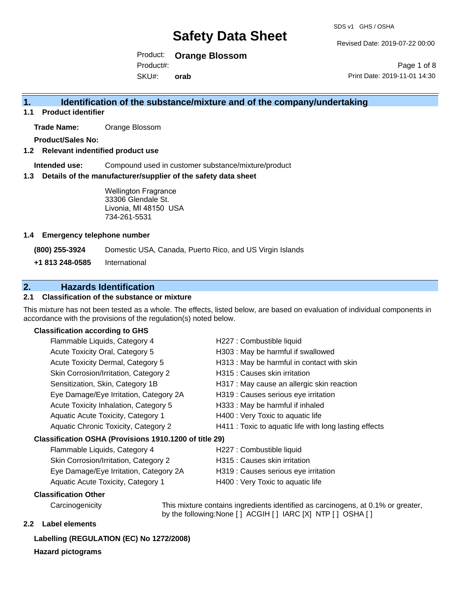Revised Date: 2019-07-22 00:00

Product: **Orange Blossom**  SKU#: Product#: **orab**

Page 1 of 8 Print Date: 2019-11-01 14:30

## **1. Identification of the substance/mixture and of the company/undertaking**

**1.1 Product identifier**

**Trade Name:** Orange Blossom

**Product/Sales No:**

### **1.2 Relevant indentified product use**

**Intended use:** Compound used in customer substance/mixture/product

### **1.3 Details of the manufacturer/supplier of the safety data sheet**

Wellington Fragrance 33306 Glendale St. Livonia, MI 48150 USA 734-261-5531

### **1.4 Emergency telephone number**

**(800) 255-3924** Domestic USA, Canada, Puerto Rico, and US Virgin Islands

**+1 813 248-0585** International

## **2. Hazards Identification**

### **2.1 Classification of the substance or mixture**

This mixture has not been tested as a whole. The effects, listed below, are based on evaluation of individual components in accordance with the provisions of the regulation(s) noted below.

### **Classification according to GHS**

| Flammable Liquids, Category 4                       | H227 : Combustible liquid                              |  |
|-----------------------------------------------------|--------------------------------------------------------|--|
| Acute Toxicity Oral, Category 5                     | H303 : May be harmful if swallowed                     |  |
| Acute Toxicity Dermal, Category 5                   | H313 : May be harmful in contact with skin             |  |
| Skin Corrosion/Irritation, Category 2               | H315 : Causes skin irritation                          |  |
| Sensitization, Skin, Category 1B                    | H317 : May cause an allergic skin reaction             |  |
| Eye Damage/Eye Irritation, Category 2A              | H319 : Causes serious eye irritation                   |  |
| Acute Toxicity Inhalation, Category 5               | H333: May be harmful if inhaled                        |  |
| Aquatic Acute Toxicity, Category 1                  | H400 : Very Toxic to aquatic life                      |  |
| Aquatic Chronic Toxicity, Category 2                | H411 : Toxic to aquatic life with long lasting effects |  |
| ssification OSHA (Provisions 1910.1200 of title 29) |                                                        |  |
| Flammable Liquids, Category 4                       | H227 : Combustible liquid                              |  |
|                                                     |                                                        |  |

### **Classification OSHA (Provisions 1910.1200 of title 29)**

| Flammable Liquids, Category 4             | H227 : Combustible liquid            |
|-------------------------------------------|--------------------------------------|
| Skin Corrosion/Irritation, Category 2     | H315 : Causes skin irritation        |
| Eye Damage/Eye Irritation, Category 2A    | H319 : Causes serious eye irritation |
| <b>Aquatic Acute Toxicity, Category 1</b> | H400 : Very Toxic to aquatic life    |

### **Classification Other**

Carcinogenicity This mixture contains ingredients identified as carcinogens, at 0.1% or greater, by the following:None [ ] ACGIH [ ] IARC [X] NTP [ ] OSHA [ ]

### **2.2 Label elements**

## **Labelling (REGULATION (EC) No 1272/2008)**

**Hazard pictograms**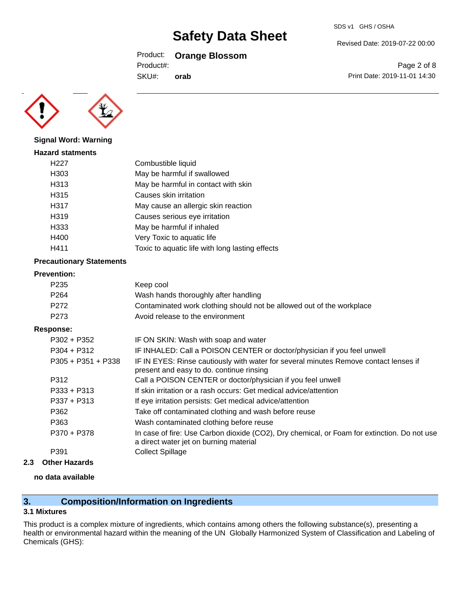### Product: **Orange Blossom**

Product#:

SKU#: **orab** Page 2 of 8

Revised Date: 2019-07-22 00:00

Print Date: 2019-11-01 14:30



**Signal Word: Warning**

| <b>Hazard statments</b> |                                                 |
|-------------------------|-------------------------------------------------|
| H227                    | Combustible liquid                              |
| H303                    | May be harmful if swallowed                     |
| H313                    | May be harmful in contact with skin             |
| H315                    | Causes skin irritation                          |
| H317                    | May cause an allergic skin reaction             |
| H319                    | Causes serious eye irritation                   |
| H333                    | May be harmful if inhaled                       |
| H400                    | Very Toxic to aquatic life                      |
| H411                    | Toxic to aquatic life with long lasting effects |
|                         |                                                 |

### **Precautionary Statements**

### **Prevention:**

**Response:**

| P <sub>235</sub>     | Keep cool                                                                                                                        |
|----------------------|----------------------------------------------------------------------------------------------------------------------------------|
| P <sub>264</sub>     | Wash hands thoroughly after handling                                                                                             |
| P <sub>272</sub>     | Contaminated work clothing should not be allowed out of the workplace                                                            |
| P <sub>273</sub>     | Avoid release to the environment                                                                                                 |
| <b>ponse:</b>        |                                                                                                                                  |
| $P302 + P352$        | IF ON SKIN: Wash with soap and water                                                                                             |
| $P304 + P312$        | IF INHALED: Call a POISON CENTER or doctor/physician if you feel unwell                                                          |
| $P305 + P351 + P338$ | IF IN EYES: Rinse cautiously with water for several minutes Remove contact lenses if<br>present and easy to do. continue rinsing |

| P312          | Call a POISON CENTER or doctor/physician if you feel unwell                                                                           |
|---------------|---------------------------------------------------------------------------------------------------------------------------------------|
| $P333 + P313$ | If skin irritation or a rash occurs: Get medical advice/attention                                                                     |
| $P337 + P313$ | If eye irritation persists: Get medical advice/attention                                                                              |
| P362          | Take off contaminated clothing and wash before reuse                                                                                  |
| P363          | Wash contaminated clothing before reuse                                                                                               |
| P370 + P378   | In case of fire: Use Carbon dioxide (CO2), Dry chemical, or Foam for extinction. Do not use<br>a direct water jet on burning material |
| P391          | <b>Collect Spillage</b>                                                                                                               |
|               |                                                                                                                                       |

**2.3 Other Hazards**

### **no data available**

## **3. Composition/Information on Ingredients**

### **3.1 Mixtures**

This product is a complex mixture of ingredients, which contains among others the following substance(s), presenting a health or environmental hazard within the meaning of the UN Globally Harmonized System of Classification and Labeling of Chemicals (GHS):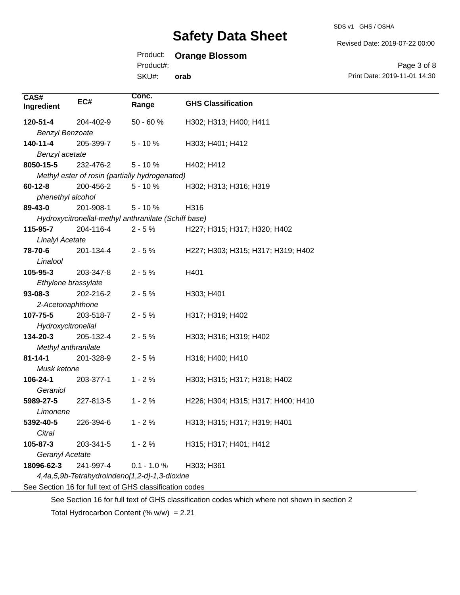## Product: **Orange Blossom**

Product#:

SKU#: **orab** Revised Date: 2019-07-22 00:00

Page 3 of 8 Print Date: 2019-11-01 14:30

| CAS#<br>Ingredient                            | EC#       | Conc.<br>Range                                           | <b>GHS Classification</b>          |
|-----------------------------------------------|-----------|----------------------------------------------------------|------------------------------------|
| 120-51-4                                      | 204-402-9 | $50 - 60 %$                                              | H302; H313; H400; H411             |
| <b>Benzyl Benzoate</b>                        |           |                                                          |                                    |
| 140-11-4                                      | 205-399-7 | $5 - 10%$                                                | H303; H401; H412                   |
| Benzyl acetate                                |           |                                                          |                                    |
| 8050-15-5                                     | 232-476-2 | $5 - 10%$                                                | H402; H412                         |
|                                               |           | Methyl ester of rosin (partially hydrogenated)           |                                    |
| $60 - 12 - 8$                                 | 200-456-2 | $5 - 10%$                                                | H302; H313; H316; H319             |
| phenethyl alcohol                             |           |                                                          |                                    |
| 89-43-0                                       | 201-908-1 | $5 - 10%$                                                | H316                               |
|                                               |           | Hydroxycitronellal-methyl anthranilate (Schiff base)     |                                    |
| 115-95-7                                      | 204-116-4 | $2 - 5%$                                                 | H227; H315; H317; H320; H402       |
| <b>Linalyl Acetate</b>                        |           |                                                          |                                    |
| 78-70-6                                       | 201-134-4 | $2 - 5%$                                                 | H227; H303; H315; H317; H319; H402 |
| Linalool                                      |           |                                                          |                                    |
| 105-95-3                                      | 203-347-8 | $2 - 5%$                                                 | H401                               |
| Ethylene brassylate                           |           |                                                          |                                    |
| $93 - 08 - 3$                                 | 202-216-2 | $2 - 5%$                                                 | H303; H401                         |
| 2-Acetonaphthone                              |           |                                                          |                                    |
| 107-75-5                                      | 203-518-7 | $2 - 5%$                                                 | H317; H319; H402                   |
| Hydroxycitronellal                            |           |                                                          |                                    |
| 134-20-3                                      | 205-132-4 | $2 - 5%$                                                 | H303; H316; H319; H402             |
| Methyl anthranilate                           |           |                                                          |                                    |
| $81 - 14 - 1$                                 | 201-328-9 | $2 - 5%$                                                 | H316; H400; H410                   |
| Musk ketone                                   |           |                                                          |                                    |
| 106-24-1                                      | 203-377-1 | $1 - 2%$                                                 | H303; H315; H317; H318; H402       |
| Geraniol                                      |           |                                                          |                                    |
| 5989-27-5                                     | 227-813-5 | $1 - 2%$                                                 | H226; H304; H315; H317; H400; H410 |
| Limonene                                      |           |                                                          |                                    |
| 5392-40-5                                     | 226-394-6 | $1 - 2%$                                                 | H313; H315; H317; H319; H401       |
| Citral                                        |           |                                                          |                                    |
| 105-87-3                                      | 203-341-5 | $1 - 2%$                                                 | H315; H317; H401; H412             |
| Geranyl Acetate                               |           |                                                          |                                    |
| 18096-62-3                                    | 241-997-4 | $0.1 - 1.0 %$                                            | H303; H361                         |
| 4,4a,5,9b-Tetrahydroindeno[1,2-d]-1,3-dioxine |           |                                                          |                                    |
|                                               |           | See Section 16 for full text of GHS classification codes |                                    |

See Section 16 for full text of GHS classification codes which where not shown in section 2

Total Hydrocarbon Content (% w/w) = 2.21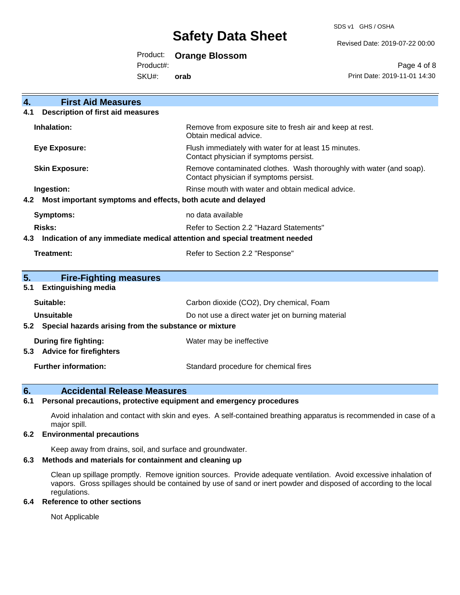SDS v1 GHS / OSHA

Revised Date: 2019-07-22 00:00

Product: **Orange Blossom** 

Product#:

SKU#: **orab**

Page 4 of 8 Print Date: 2019-11-01 14:30

| <b>First Aid Measures</b><br>4.                                                   |                                                                                                               |  |
|-----------------------------------------------------------------------------------|---------------------------------------------------------------------------------------------------------------|--|
| <b>Description of first aid measures</b><br>4.1                                   |                                                                                                               |  |
| Inhalation:                                                                       | Remove from exposure site to fresh air and keep at rest.<br>Obtain medical advice.                            |  |
| <b>Eye Exposure:</b>                                                              | Flush immediately with water for at least 15 minutes.<br>Contact physician if symptoms persist.               |  |
| <b>Skin Exposure:</b>                                                             | Remove contaminated clothes. Wash thoroughly with water (and soap).<br>Contact physician if symptoms persist. |  |
| Ingestion:                                                                        | Rinse mouth with water and obtain medical advice.                                                             |  |
| Most important symptoms and effects, both acute and delayed<br>4.2                |                                                                                                               |  |
| <b>Symptoms:</b>                                                                  | no data available                                                                                             |  |
| <b>Risks:</b>                                                                     | Refer to Section 2.2 "Hazard Statements"                                                                      |  |
| Indication of any immediate medical attention and special treatment needed<br>4.3 |                                                                                                               |  |
| <b>Treatment:</b>                                                                 | Refer to Section 2.2 "Response"                                                                               |  |
|                                                                                   |                                                                                                               |  |
| 5.<br><b>Fire-Fighting measures</b>                                               |                                                                                                               |  |
| <b>Extinguishing media</b><br>5.1                                                 |                                                                                                               |  |
| Suitable:                                                                         | Carbon dioxide (CO2), Dry chemical, Foam                                                                      |  |
| <b>Unsuitable</b>                                                                 | Do not use a direct water jet on burning material                                                             |  |
| 5.2 Special hazards arising from the substance or mixture                         |                                                                                                               |  |
| During fire fighting:                                                             | Water may be ineffective                                                                                      |  |
| <b>Advice for firefighters</b><br>5.3                                             |                                                                                                               |  |
| <b>Further information:</b>                                                       | Standard procedure for chemical fires                                                                         |  |

## **6. Accidental Release Measures**

### **6.1 Personal precautions, protective equipment and emergency procedures**

Avoid inhalation and contact with skin and eyes. A self-contained breathing apparatus is recommended in case of a major spill.

### **6.2 Environmental precautions**

Keep away from drains, soil, and surface and groundwater.

### **6.3 Methods and materials for containment and cleaning up**

Clean up spillage promptly. Remove ignition sources. Provide adequate ventilation. Avoid excessive inhalation of vapors. Gross spillages should be contained by use of sand or inert powder and disposed of according to the local regulations.

### **6.4 Reference to other sections**

Not Applicable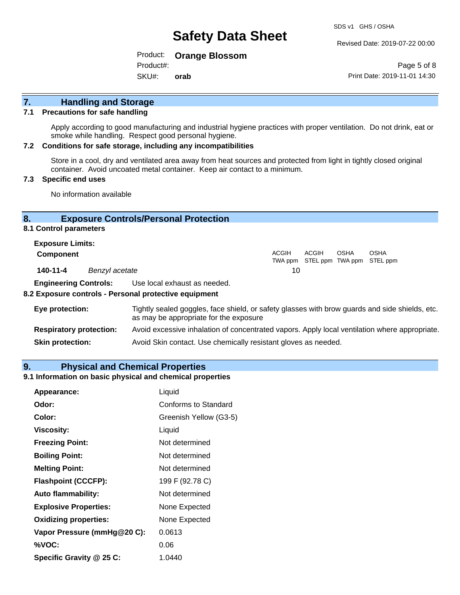Revised Date: 2019-07-22 00:00

Product: **Orange Blossom**  Product#:

SKU#: **orab**

Page 5 of 8 Print Date: 2019-11-01 14:30

# **7. Handling and Storage**

### **7.1 Precautions for safe handling**

Apply according to good manufacturing and industrial hygiene practices with proper ventilation. Do not drink, eat or smoke while handling. Respect good personal hygiene.

### **7.2 Conditions for safe storage, including any incompatibilities**

Store in a cool, dry and ventilated area away from heat sources and protected from light in tightly closed original container. Avoid uncoated metal container. Keep air contact to a minimum.

### **7.3 Specific end uses**

No information available

### **8. Exposure Controls/Personal Protection**

### **8.1 Control parameters**

| <b>Exposure Limits:</b> |                |                                                                                          |
|-------------------------|----------------|------------------------------------------------------------------------------------------|
| <b>Component</b>        |                | ACGIH<br><b>OSHA</b><br><b>OSHA</b><br><b>ACGIH</b><br>TWA ppm STEL ppm TWA ppm STEL ppm |
| 140-11-4                | Benzyl acetate | 10                                                                                       |

**Engineering Controls:** Use local exhaust as needed.

### **8.2 Exposure controls - Personal protective equipment**

| Eye protection:                | Tightly sealed goggles, face shield, or safety glasses with brow guards and side shields, etc.<br>as may be appropriate for the exposure |
|--------------------------------|------------------------------------------------------------------------------------------------------------------------------------------|
| <b>Respiratory protection:</b> | Avoid excessive inhalation of concentrated vapors. Apply local ventilation where appropriate.                                            |
| <b>Skin protection:</b>        | Avoid Skin contact. Use chemically resistant gloves as needed.                                                                           |

### **9. Physical and Chemical Properties**

### **9.1 Information on basic physical and chemical properties**

| Appearance:                  | Liquid                      |
|------------------------------|-----------------------------|
| Odor:                        | <b>Conforms to Standard</b> |
| Color:                       | Greenish Yellow (G3-5)      |
| <b>Viscosity:</b>            | Liquid                      |
| <b>Freezing Point:</b>       | Not determined              |
| <b>Boiling Point:</b>        | Not determined              |
| <b>Melting Point:</b>        | Not determined              |
| <b>Flashpoint (CCCFP):</b>   | 199 F (92.78 C)             |
| <b>Auto flammability:</b>    | Not determined              |
| <b>Explosive Properties:</b> | None Expected               |
| <b>Oxidizing properties:</b> | None Expected               |
| Vapor Pressure (mmHg@20 C):  | 0.0613                      |
| %VOC:                        | 0.06                        |
| Specific Gravity @ 25 C:     | 1.0440                      |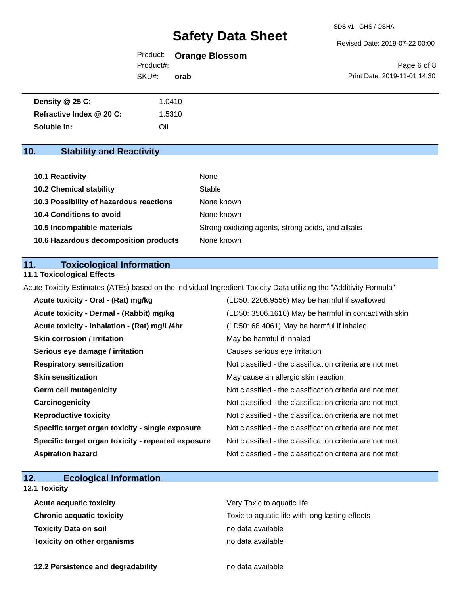#### Revised Date: 2019-07-22 00:00

Product: **Orange Blossom**  Product#:

SKU#: **orab**

Page 6 of 8 Print Date: 2019-11-01 14:30

| <b>Density @ 25 C:</b>   | 1.0410 |
|--------------------------|--------|
| Refractive Index @ 20 C: | 1.5310 |
| Soluble in:              | Oil    |

## **10. Stability and Reactivity**

| 10.1 Reactivity                         | None                                               |
|-----------------------------------------|----------------------------------------------------|
| <b>10.2 Chemical stability</b>          | Stable                                             |
| 10.3 Possibility of hazardous reactions | None known                                         |
| <b>10.4 Conditions to avoid</b>         | None known                                         |
| 10.5 Incompatible materials             | Strong oxidizing agents, strong acids, and alkalis |
| 10.6 Hazardous decomposition products   | None known                                         |

### **11. Toxicological Information**

### **11.1 Toxicological Effects**

Acute Toxicity Estimates (ATEs) based on the individual Ingredient Toxicity Data utilizing the "Additivity Formula"

| Acute toxicity - Oral - (Rat) mg/kg                | (LD50: 2208.9556) May be harmful if swallowed            |
|----------------------------------------------------|----------------------------------------------------------|
| Acute toxicity - Dermal - (Rabbit) mg/kg           | (LD50: 3506.1610) May be harmful in contact with skin    |
| Acute toxicity - Inhalation - (Rat) mg/L/4hr       | (LD50: 68.4061) May be harmful if inhaled                |
| <b>Skin corrosion / irritation</b>                 | May be harmful if inhaled                                |
| Serious eye damage / irritation                    | Causes serious eye irritation                            |
| <b>Respiratory sensitization</b>                   | Not classified - the classification criteria are not met |
| <b>Skin sensitization</b>                          | May cause an allergic skin reaction                      |
| <b>Germ cell mutagenicity</b>                      | Not classified - the classification criteria are not met |
| Carcinogenicity                                    | Not classified - the classification criteria are not met |
| <b>Reproductive toxicity</b>                       | Not classified - the classification criteria are not met |
| Specific target organ toxicity - single exposure   | Not classified - the classification criteria are not met |
| Specific target organ toxicity - repeated exposure | Not classified - the classification criteria are not met |
| <b>Aspiration hazard</b>                           | Not classified - the classification criteria are not met |

## **12. Ecological Information**

### **12.1 Toxicity**

| <b>Acute acquatic toxicity</b>     | Very Toxic to aquatic life                      |
|------------------------------------|-------------------------------------------------|
| Chronic acquatic toxicity          | Toxic to aquatic life with long lasting effects |
| Toxicity Data on soil              | no data available                               |
| <b>Toxicity on other organisms</b> | no data available                               |

**12.2 Persistence and degradability no data available**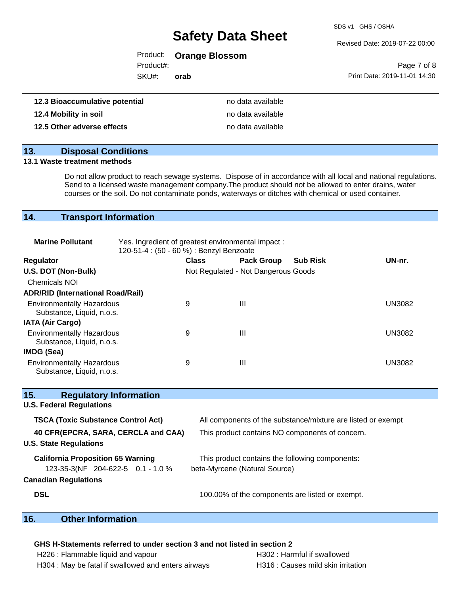SDS v1 GHS / OSHA

Revised Date: 2019-07-22 00:00

| Product: |  | <b>Orange Blossom</b> |
|----------|--|-----------------------|
|----------|--|-----------------------|

Product#:

SKU#: **orab**

| Page 7 of 8                  |  |  |
|------------------------------|--|--|
| Print Date: 2019-11-01 14:30 |  |  |

| 12.3 Bioaccumulative potential | no data available |
|--------------------------------|-------------------|
| 12.4 Mobility in soil          | no data available |
| 12.5 Other adverse effects     | no data available |

### **13. Disposal Conditions**

### **13.1 Waste treatment methods**

Do not allow product to reach sewage systems. Dispose of in accordance with all local and national regulations. Send to a licensed waste management company.The product should not be allowed to enter drains, water courses or the soil. Do not contaminate ponds, waterways or ditches with chemical or used container.

### **14. Transport Information**

| <b>Marine Pollutant</b>                                       | Yes. Ingredient of greatest environmental impact:<br>120-51-4 : (50 - 60 %) : Benzyl Benzoate |              |                                     |                 |               |
|---------------------------------------------------------------|-----------------------------------------------------------------------------------------------|--------------|-------------------------------------|-----------------|---------------|
| <b>Regulator</b>                                              |                                                                                               | <b>Class</b> | <b>Pack Group</b>                   | <b>Sub Risk</b> | UN-nr.        |
| U.S. DOT (Non-Bulk)                                           |                                                                                               |              | Not Regulated - Not Dangerous Goods |                 |               |
| <b>Chemicals NOI</b>                                          |                                                                                               |              |                                     |                 |               |
| <b>ADR/RID (International Road/Rail)</b>                      |                                                                                               |              |                                     |                 |               |
| <b>Environmentally Hazardous</b><br>Substance, Liquid, n.o.s. |                                                                                               | 9            | Ш                                   |                 | <b>UN3082</b> |
| <b>IATA (Air Cargo)</b>                                       |                                                                                               |              |                                     |                 |               |
| <b>Environmentally Hazardous</b><br>Substance, Liquid, n.o.s. |                                                                                               | 9            | Ш                                   |                 | <b>UN3082</b> |
| IMDG (Sea)                                                    |                                                                                               |              |                                     |                 |               |
| <b>Environmentally Hazardous</b><br>Substance, Liquid, n.o.s. |                                                                                               | 9            | Ш                                   |                 | UN3082        |

| All components of the substance/mixture are listed or exempt |
|--------------------------------------------------------------|
| This product contains NO components of concern.              |
|                                                              |
| This product contains the following components:              |
| beta-Myrcene (Natural Source)                                |
|                                                              |
| 100.00% of the components are listed or exempt.              |
|                                                              |

### **16. Other Information**

### **GHS H-Statements referred to under section 3 and not listed in section 2**

| H226 : Flammable liquid and vapour                  |  |
|-----------------------------------------------------|--|
| H304 : May be fatal if swallowed and enters airways |  |